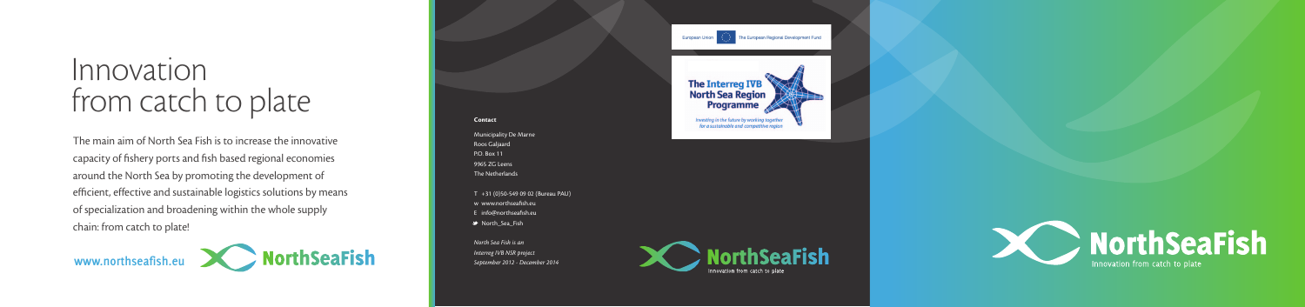# Innovation from catch to plate

The main aim of North Sea Fish is to increase the innovative capacity of fishery ports and fish based regional economies around the North Sea by promoting the development of efficient, effective and sustainable logistics solutions by means of specialization and broadening within the whole supply chain: from catch to plate!



T +31 (0)50-549 09 02 (Bureau PAU) w www.northseafish.eu E info@northseafish.eu ■ North\_Sea\_Fish



#### Contact

Municipality De Marne Roos Galjaard P.O. Box 11 9965 ZG Leens The Netherlands

*North Sea Fish is an Interreg IVB NSR project September 2012 - December 2014*